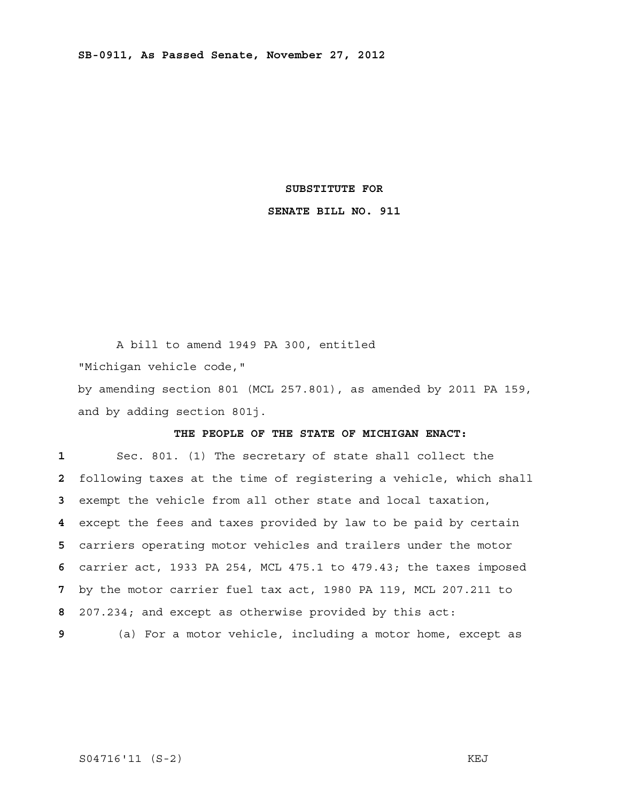#### **SUBSTITUTE FOR**

## **SENATE BILL NO. 911**

A bill to amend 1949 PA 300, entitled

"Michigan vehicle code,"

by amending section 801 (MCL 257.801), as amended by 2011 PA 159, and by adding section 801j.

# **THE PEOPLE OF THE STATE OF MICHIGAN ENACT:**

Sec. 801. (1) The secretary of state shall collect the following taxes at the time of registering a vehicle, which shall exempt the vehicle from all other state and local taxation, except the fees and taxes provided by law to be paid by certain carriers operating motor vehicles and trailers under the motor carrier act, 1933 PA 254, MCL 475.1 to 479.43; the taxes imposed by the motor carrier fuel tax act, 1980 PA 119, MCL 207.211 to 207.234; and except as otherwise provided by this act:

 **9** (a) For a motor vehicle, including a motor home, except as

## S04716'11 (S-2) KEJ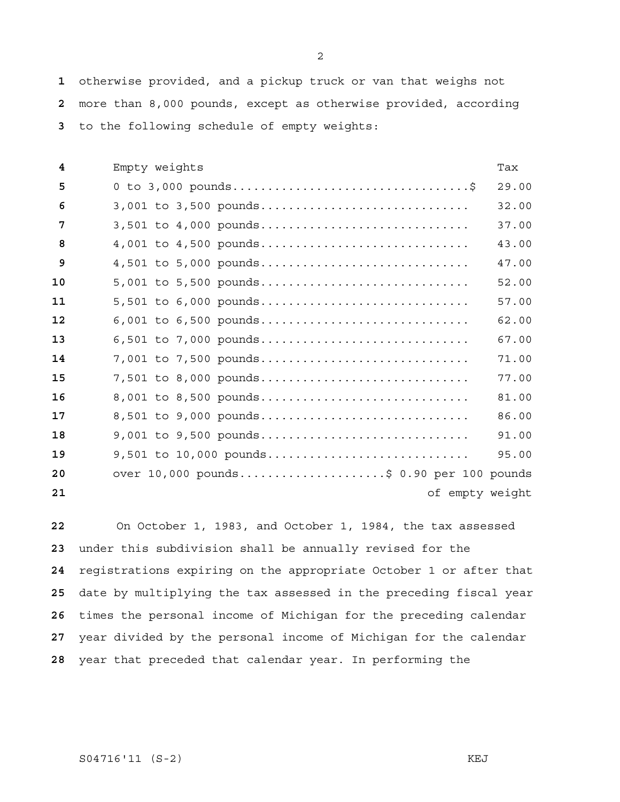otherwise provided, and a pickup truck or van that weighs not more than 8,000 pounds, except as otherwise provided, according to the following schedule of empty weights:

| 4  | Empty weights                            | Tax   |
|----|------------------------------------------|-------|
| 5  |                                          | 29.00 |
| 6  | 3,001 to 3,500 pounds                    | 32.00 |
| 7  | $3,501$ to $4,000$ pounds                | 37.00 |
| 8  | 4,001 to 4,500 pounds                    | 43.00 |
| 9  | 4,501 to 5,000 pounds                    | 47.00 |
| 10 | 5,001 to 5,500 pounds                    | 52.00 |
| 11 | 5,501 to 6,000 pounds                    | 57.00 |
| 12 | 6,001 to 6,500 pounds                    | 62.00 |
| 13 | 6,501 to 7,000 pounds                    | 67.00 |
| 14 | 7,001 to 7,500 pounds                    | 71.00 |
| 15 | 7,501 to 8,000 pounds                    | 77.00 |
| 16 | 8,001 to 8,500 pounds                    | 81.00 |
| 17 | 8,501 to 9,000 pounds                    | 86.00 |
| 18 | $9,001$ to $9,500$ pounds                | 91.00 |
| 19 | $9,501$ to $10,000$ pounds               | 95.00 |
| 20 | over 10,000 pounds\$ 0.90 per 100 pounds |       |
| 21 | of empty weight                          |       |

On October 1, 1983, and October 1, 1984, the tax assessed under this subdivision shall be annually revised for the registrations expiring on the appropriate October 1 or after that date by multiplying the tax assessed in the preceding fiscal year times the personal income of Michigan for the preceding calendar year divided by the personal income of Michigan for the calendar year that preceded that calendar year. In performing the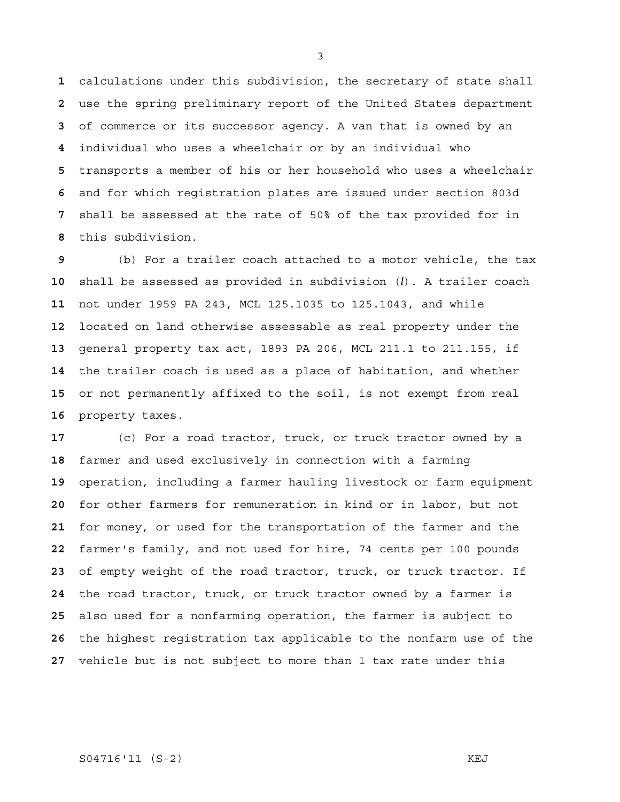calculations under this subdivision, the secretary of state shall use the spring preliminary report of the United States department of commerce or its successor agency. A van that is owned by an individual who uses a wheelchair or by an individual who transports a member of his or her household who uses a wheelchair and for which registration plates are issued under section 803d shall be assessed at the rate of 50% of the tax provided for in this subdivision.

(b) For a trailer coach attached to a motor vehicle, the tax shall be assessed as provided in subdivision (*l*). A trailer coach not under 1959 PA 243, MCL 125.1035 to 125.1043, and while located on land otherwise assessable as real property under the general property tax act, 1893 PA 206, MCL 211.1 to 211.155, if the trailer coach is used as a place of habitation, and whether or not permanently affixed to the soil, is not exempt from real property taxes.

(c) For a road tractor, truck, or truck tractor owned by a farmer and used exclusively in connection with a farming operation, including a farmer hauling livestock or farm equipment for other farmers for remuneration in kind or in labor, but not for money, or used for the transportation of the farmer and the farmer's family, and not used for hire, 74 cents per 100 pounds of empty weight of the road tractor, truck, or truck tractor. If the road tractor, truck, or truck tractor owned by a farmer is also used for a nonfarming operation, the farmer is subject to the highest registration tax applicable to the nonfarm use of the vehicle but is not subject to more than 1 tax rate under this

#### S04716'11 (S-2) KEJ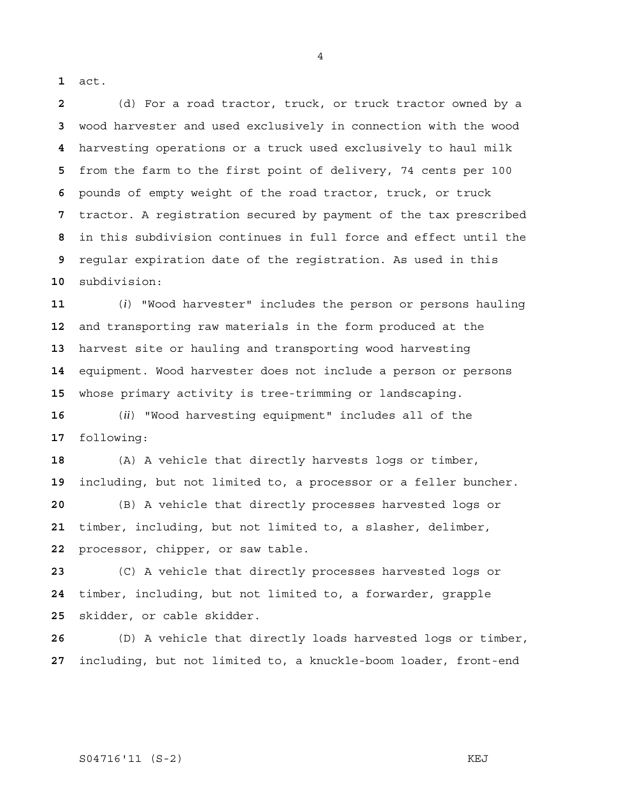act.

(d) For a road tractor, truck, or truck tractor owned by a wood harvester and used exclusively in connection with the wood harvesting operations or a truck used exclusively to haul milk from the farm to the first point of delivery, 74 cents per 100 pounds of empty weight of the road tractor, truck, or truck tractor. A registration secured by payment of the tax prescribed in this subdivision continues in full force and effect until the regular expiration date of the registration. As used in this subdivision:

(*i*) "Wood harvester" includes the person or persons hauling and transporting raw materials in the form produced at the harvest site or hauling and transporting wood harvesting equipment. Wood harvester does not include a person or persons whose primary activity is tree-trimming or landscaping.

(*ii*) "Wood harvesting equipment" includes all of the following:

(A) A vehicle that directly harvests logs or timber, including, but not limited to, a processor or a feller buncher.

(B) A vehicle that directly processes harvested logs or timber, including, but not limited to, a slasher, delimber, processor, chipper, or saw table.

(C) A vehicle that directly processes harvested logs or timber, including, but not limited to, a forwarder, grapple skidder, or cable skidder.

(D) A vehicle that directly loads harvested logs or timber, including, but not limited to, a knuckle-boom loader, front-end

#### S04716'11 (S-2) KEJ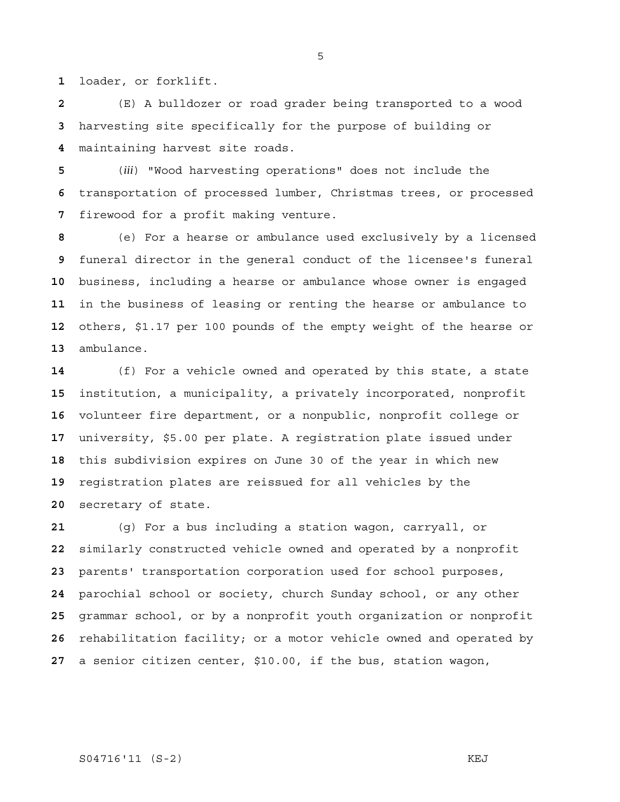loader, or forklift.

(E) A bulldozer or road grader being transported to a wood harvesting site specifically for the purpose of building or maintaining harvest site roads.

(*iii*) "Wood harvesting operations" does not include the transportation of processed lumber, Christmas trees, or processed firewood for a profit making venture.

(e) For a hearse or ambulance used exclusively by a licensed funeral director in the general conduct of the licensee's funeral business, including a hearse or ambulance whose owner is engaged in the business of leasing or renting the hearse or ambulance to others, \$1.17 per 100 pounds of the empty weight of the hearse or ambulance.

(f) For a vehicle owned and operated by this state, a state institution, a municipality, a privately incorporated, nonprofit volunteer fire department, or a nonpublic, nonprofit college or university, \$5.00 per plate. A registration plate issued under this subdivision expires on June 30 of the year in which new registration plates are reissued for all vehicles by the secretary of state.

(g) For a bus including a station wagon, carryall, or similarly constructed vehicle owned and operated by a nonprofit parents' transportation corporation used for school purposes, parochial school or society, church Sunday school, or any other grammar school, or by a nonprofit youth organization or nonprofit rehabilitation facility; or a motor vehicle owned and operated by a senior citizen center, \$10.00, if the bus, station wagon,

# S04716'11 (S-2) KEJ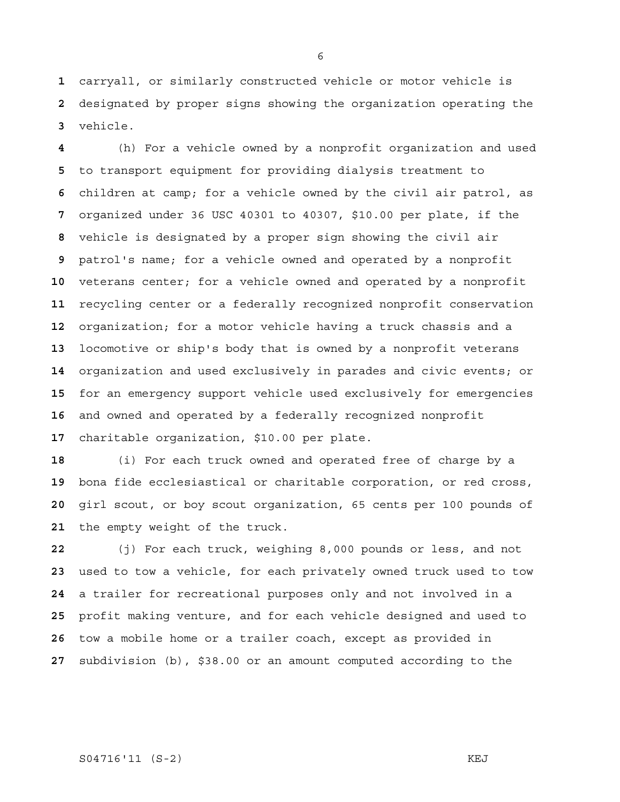carryall, or similarly constructed vehicle or motor vehicle is designated by proper signs showing the organization operating the vehicle.

(h) For a vehicle owned by a nonprofit organization and used to transport equipment for providing dialysis treatment to children at camp; for a vehicle owned by the civil air patrol, as organized under 36 USC 40301 to 40307, \$10.00 per plate, if the vehicle is designated by a proper sign showing the civil air patrol's name; for a vehicle owned and operated by a nonprofit veterans center; for a vehicle owned and operated by a nonprofit recycling center or a federally recognized nonprofit conservation organization; for a motor vehicle having a truck chassis and a locomotive or ship's body that is owned by a nonprofit veterans organization and used exclusively in parades and civic events; or for an emergency support vehicle used exclusively for emergencies and owned and operated by a federally recognized nonprofit charitable organization, \$10.00 per plate.

(i) For each truck owned and operated free of charge by a bona fide ecclesiastical or charitable corporation, or red cross, girl scout, or boy scout organization, 65 cents per 100 pounds of the empty weight of the truck.

(j) For each truck, weighing 8,000 pounds or less, and not used to tow a vehicle, for each privately owned truck used to tow a trailer for recreational purposes only and not involved in a profit making venture, and for each vehicle designed and used to tow a mobile home or a trailer coach, except as provided in subdivision (b), \$38.00 or an amount computed according to the

# S04716'11 (S-2) KEJ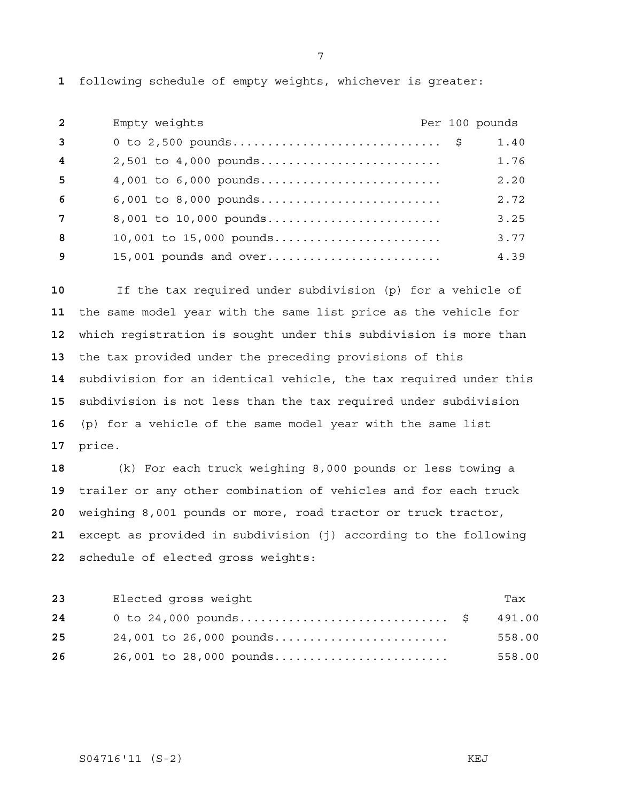following schedule of empty weights, whichever is greater:

| $\overline{2}$ | Empty weights           |  | Per 100 pounds |
|----------------|-------------------------|--|----------------|
| $\mathbf{3}$   |                         |  | 1.40           |
| $\overline{4}$ | 2,501 to 4,000 pounds   |  | 1.76           |
| -5             | 4,001 to 6,000 pounds   |  | 2.20           |
| 6              | 6,001 to 8,000 pounds   |  | 2.72           |
| 7              | 8,001 to 10,000 pounds  |  | 3.25           |
| 8              | 10,001 to 15,000 pounds |  | 3.77           |
| 9              | 15,001 pounds and over  |  | 4.39           |

If the tax required under subdivision (p) for a vehicle of the same model year with the same list price as the vehicle for which registration is sought under this subdivision is more than the tax provided under the preceding provisions of this subdivision for an identical vehicle, the tax required under this subdivision is not less than the tax required under subdivision (p) for a vehicle of the same model year with the same list price.

(k) For each truck weighing 8,000 pounds or less towing a trailer or any other combination of vehicles and for each truck weighing 8,001 pounds or more, road tractor or truck tractor, except as provided in subdivision (j) according to the following schedule of elected gross weights:

| 23 | Elected gross weight    | Tax    |
|----|-------------------------|--------|
| 24 |                         |        |
| 25 | 24,001 to 26,000 pounds | 558.00 |
| 26 | 26,001 to 28,000 pounds | 558.00 |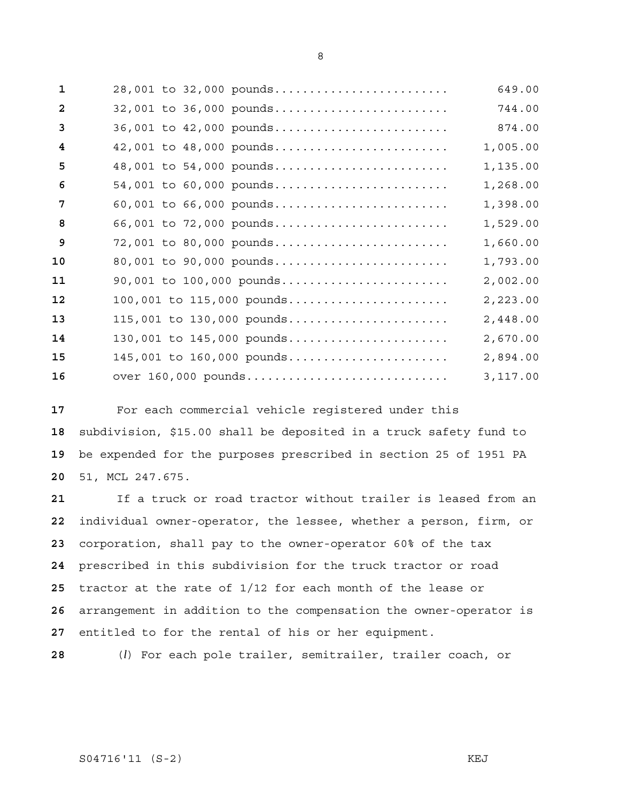| $\mathbf{1}$   | 28,001 to 32,000 pounds   | 649.00   |
|----------------|---------------------------|----------|
| $\overline{2}$ | 32,001 to 36,000 pounds   | 744.00   |
| $\overline{3}$ | 36,001 to 42,000 pounds   | 874.00   |
| 4              | 42,001 to 48,000 pounds   | 1,005.00 |
| 5              | 48,001 to 54,000 pounds   | 1,135.00 |
| 6              | 54,001 to 60,000 pounds   | 1,268.00 |
| 7              | 60,001 to 66,000 pounds   | 1,398.00 |
| 8              | 66,001 to 72,000 pounds   | 1,529.00 |
| 9              | 72,001 to 80,000 pounds   | 1,660.00 |
| 10             | 80,001 to 90,000 pounds   | 1,793.00 |
| 11             | 90,001 to 100,000 pounds  | 2,002.00 |
| 12             | 100,001 to 115,000 pounds | 2,223.00 |
| 13             | 115,001 to 130,000 pounds | 2,448.00 |
| 14             | 130,001 to 145,000 pounds | 2,670.00 |
| 15             | 145,001 to 160,000 pounds | 2,894.00 |
| 16             | over 160,000 pounds       | 3,117.00 |

For each commercial vehicle registered under this subdivision, \$15.00 shall be deposited in a truck safety fund to be expended for the purposes prescribed in section 25 of 1951 PA 51, MCL 247.675.

If a truck or road tractor without trailer is leased from an individual owner-operator, the lessee, whether a person, firm, or corporation, shall pay to the owner-operator 60% of the tax prescribed in this subdivision for the truck tractor or road tractor at the rate of 1/12 for each month of the lease or arrangement in addition to the compensation the owner-operator is entitled to for the rental of his or her equipment.

(*l*) For each pole trailer, semitrailer, trailer coach, or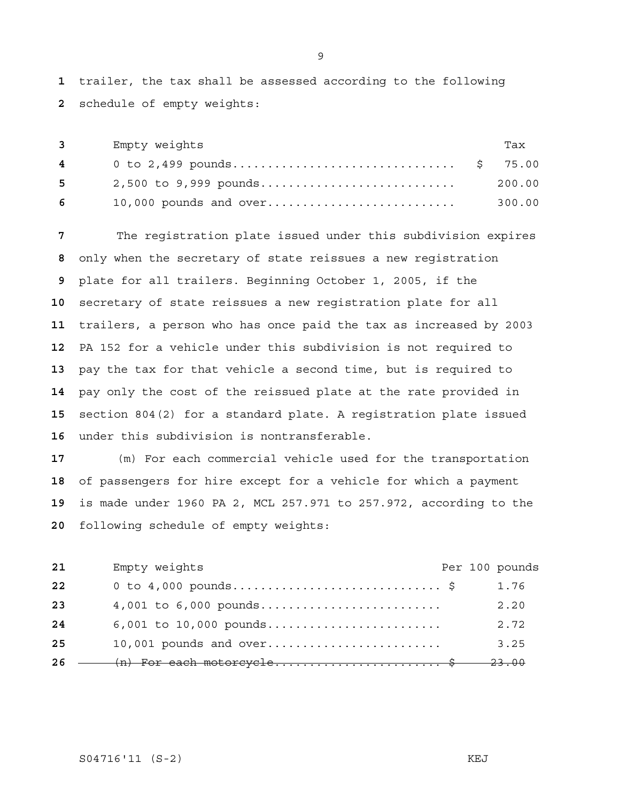trailer, the tax shall be assessed according to the following schedule of empty weights:

| $3 \sim$                                                                                                                                                                                                                                                                                                                           | Empty weights         | Tax    |
|------------------------------------------------------------------------------------------------------------------------------------------------------------------------------------------------------------------------------------------------------------------------------------------------------------------------------------|-----------------------|--------|
| $\overline{4}$ and $\overline{4}$ and $\overline{4}$ and $\overline{4}$ and $\overline{4}$ and $\overline{4}$ and $\overline{4}$ and $\overline{4}$ and $\overline{4}$ and $\overline{4}$ and $\overline{4}$ and $\overline{4}$ and $\overline{4}$ and $\overline{4}$ and $\overline{4}$ and $\overline{4}$ and $\overline{4}$ and |                       |        |
| $5^{\circ}$                                                                                                                                                                                                                                                                                                                        | 2,500 to 9,999 pounds | 200.00 |
| 6 —                                                                                                                                                                                                                                                                                                                                |                       | 300.00 |

The registration plate issued under this subdivision expires only when the secretary of state reissues a new registration plate for all trailers. Beginning October 1, 2005, if the secretary of state reissues a new registration plate for all trailers, a person who has once paid the tax as increased by 2003 PA 152 for a vehicle under this subdivision is not required to pay the tax for that vehicle a second time, but is required to pay only the cost of the reissued plate at the rate provided in section 804(2) for a standard plate. A registration plate issued under this subdivision is nontransferable.

(m) For each commercial vehicle used for the transportation of passengers for hire except for a vehicle for which a payment is made under 1960 PA 2, MCL 257.971 to 257.972, according to the following schedule of empty weights:

| 21  | Empty weights                     |  | Per 100 pounds |
|-----|-----------------------------------|--|----------------|
| 22  |                                   |  | 1.76           |
| 23  | 4,001 to 6,000 pounds             |  | 2.20           |
| 24  | 6,001 to 10,000 pounds            |  | 2.72           |
| 25  | $10,001$ pounds and over          |  | 3.25           |
| -26 | $(n)$ For each motorcycle\$ 23.00 |  |                |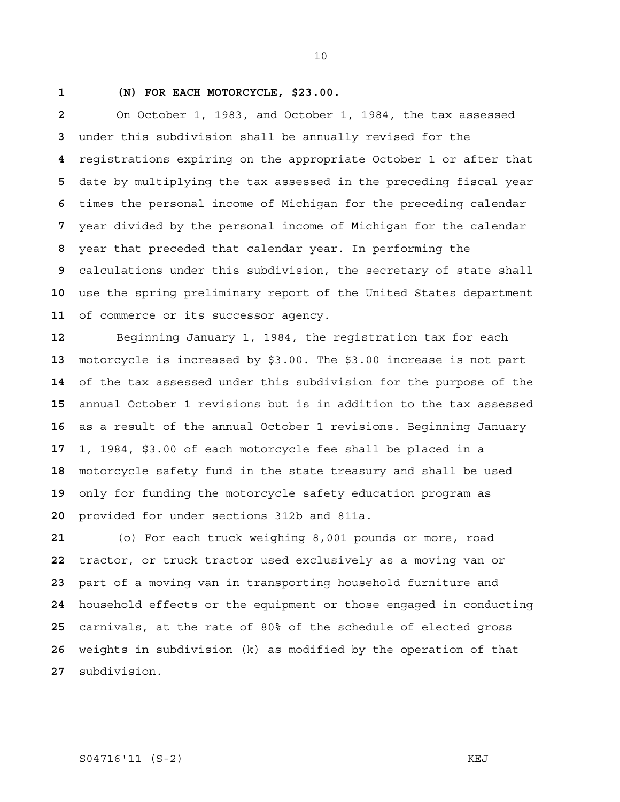## **1 (N) FOR EACH MOTORCYCLE, \$23.00.**

On October 1, 1983, and October 1, 1984, the tax assessed under this subdivision shall be annually revised for the registrations expiring on the appropriate October 1 or after that date by multiplying the tax assessed in the preceding fiscal year times the personal income of Michigan for the preceding calendar year divided by the personal income of Michigan for the calendar year that preceded that calendar year. In performing the calculations under this subdivision, the secretary of state shall use the spring preliminary report of the United States department of commerce or its successor agency.

Beginning January 1, 1984, the registration tax for each motorcycle is increased by \$3.00. The \$3.00 increase is not part of the tax assessed under this subdivision for the purpose of the annual October 1 revisions but is in addition to the tax assessed as a result of the annual October 1 revisions. Beginning January 1, 1984, \$3.00 of each motorcycle fee shall be placed in a motorcycle safety fund in the state treasury and shall be used only for funding the motorcycle safety education program as provided for under sections 312b and 811a.

(o) For each truck weighing 8,001 pounds or more, road tractor, or truck tractor used exclusively as a moving van or part of a moving van in transporting household furniture and household effects or the equipment or those engaged in conducting carnivals, at the rate of 80% of the schedule of elected gross weights in subdivision (k) as modified by the operation of that subdivision.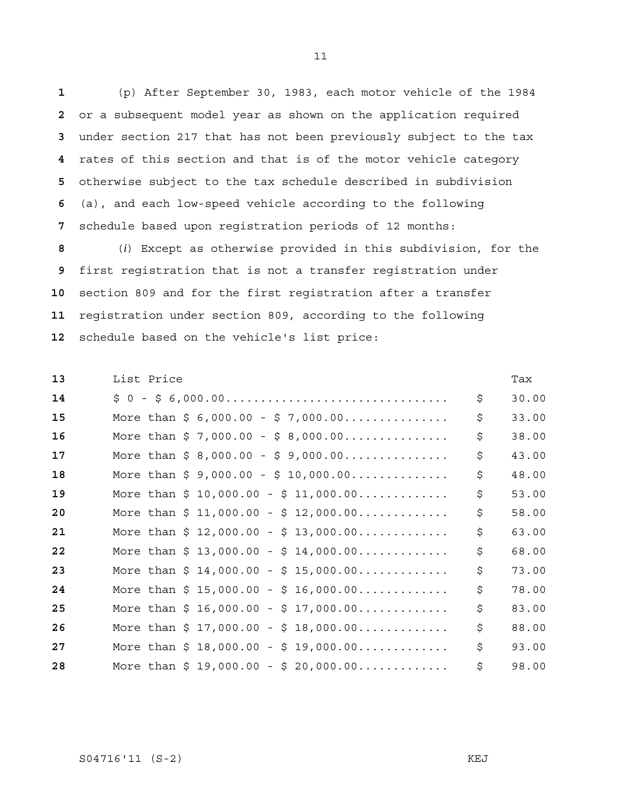(p) After September 30, 1983, each motor vehicle of the 1984 or a subsequent model year as shown on the application required under section 217 that has not been previously subject to the tax rates of this section and that is of the motor vehicle category otherwise subject to the tax schedule described in subdivision (a), and each low-speed vehicle according to the following schedule based upon registration periods of 12 months:

(*i*) Except as otherwise provided in this subdivision, for the first registration that is not a transfer registration under section 809 and for the first registration after a transfer registration under section 809, according to the following schedule based on the vehicle's list price:

| 13 | List Price                                                | Tax         |
|----|-----------------------------------------------------------|-------------|
| 14 |                                                           | \$<br>30.00 |
| 15 | More than $\frac{2}{7}$ 6,000.00 - $\frac{2}{7}$ 7,000.00 | \$<br>33.00 |
| 16 | More than $$7,000.00 - $8,000.00$                         | \$<br>38.00 |
| 17 | More than $$8,000.00 - $9,000.00$                         | \$<br>43.00 |
| 18 | More than $$ 9,000.00 - $ 10,000.00$                      | \$<br>48.00 |
| 19 | More than $$10,000.00 - $11,000.00$                       | \$<br>53.00 |
| 20 | More than $$11,000.00 - $12,000.00$                       | \$<br>58.00 |
| 21 | More than $$12,000.00 - $13,000.00$                       | \$<br>63.00 |
| 22 | More than $$13,000.00 - $14,000.00$                       | \$<br>68.00 |
| 23 | More than $$14,000.00 - $15,000.00$                       | \$<br>73.00 |
| 24 | More than $$15,000.00 - $16,000.00$                       | \$<br>78.00 |
| 25 | More than $$16,000.00 - $17,000.00$                       | \$<br>83.00 |
| 26 | More than $$17,000.00 - $18,000.00$                       | \$<br>88.00 |
| 27 | More than $$18,000.00 - $19,000.00$                       | \$<br>93.00 |
| 28 | More than $$19,000.00 - $20,000.00$                       | \$<br>98.00 |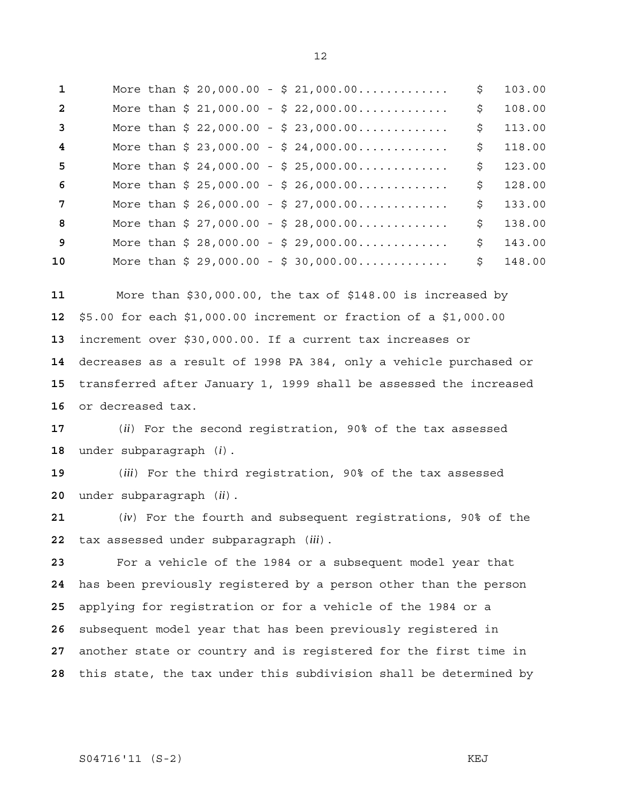| 1              |  |  |  | More than $$20,000.00 - $21,000.00$ | \$ | 103.00 |
|----------------|--|--|--|-------------------------------------|----|--------|
| $\overline{2}$ |  |  |  | More than $$21,000.00 - $22,000.00$ | \$ | 108.00 |
| $\overline{3}$ |  |  |  | More than $$22,000.00 - $23,000.00$ | Ŝ. | 113.00 |
| 4              |  |  |  | More than $$23,000.00 - $24,000.00$ | Ŝ. | 118.00 |
| 5              |  |  |  | More than $$24,000.00 - $25,000.00$ | \$ | 123.00 |
| 6              |  |  |  | More than $$25,000.00 - $26,000.00$ | \$ | 128.00 |
| 7              |  |  |  | More than $$26,000.00 - $27,000.00$ | S. | 133.00 |
| 8              |  |  |  | More than $$27,000.00 - $28,000.00$ | \$ | 138.00 |
| $\mathbf{q}$   |  |  |  | More than $$28,000.00 - $29,000.00$ | Ŝ. | 143.00 |
| 10             |  |  |  | More than $$29,000.00 - $30,000.00$ | \$ | 148.00 |

More than \$30,000.00, the tax of \$148.00 is increased by \$5.00 for each \$1,000.00 increment or fraction of a \$1,000.00 increment over \$30,000.00. If a current tax increases or decreases as a result of 1998 PA 384, only a vehicle purchased or transferred after January 1, 1999 shall be assessed the increased or decreased tax.

(*ii*) For the second registration, 90% of the tax assessed under subparagraph (*i*).

(*iii*) For the third registration, 90% of the tax assessed under subparagraph (*ii*).

(*iv*) For the fourth and subsequent registrations, 90% of the tax assessed under subparagraph (*iii*).

For a vehicle of the 1984 or a subsequent model year that has been previously registered by a person other than the person applying for registration or for a vehicle of the 1984 or a subsequent model year that has been previously registered in another state or country and is registered for the first time in this state, the tax under this subdivision shall be determined by

# 

S04716'11 (S-2) KEJ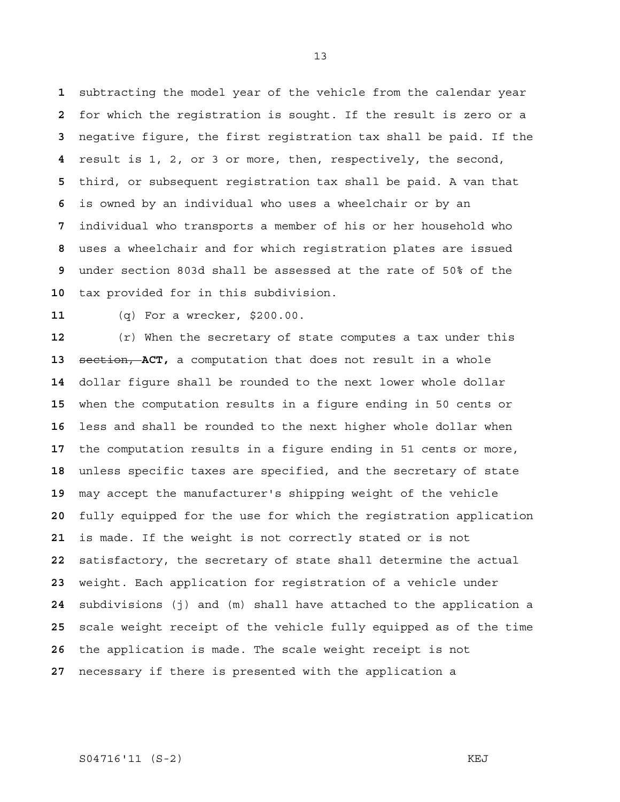subtracting the model year of the vehicle from the calendar year for which the registration is sought. If the result is zero or a negative figure, the first registration tax shall be paid. If the result is 1, 2, or 3 or more, then, respectively, the second, third, or subsequent registration tax shall be paid. A van that is owned by an individual who uses a wheelchair or by an individual who transports a member of his or her household who uses a wheelchair and for which registration plates are issued under section 803d shall be assessed at the rate of 50% of the tax provided for in this subdivision.

(q) For a wrecker, \$200.00.

(r) When the secretary of state computes a tax under this section, **ACT,** a computation that does not result in a whole dollar figure shall be rounded to the next lower whole dollar when the computation results in a figure ending in 50 cents or less and shall be rounded to the next higher whole dollar when the computation results in a figure ending in 51 cents or more, unless specific taxes are specified, and the secretary of state may accept the manufacturer's shipping weight of the vehicle fully equipped for the use for which the registration application is made. If the weight is not correctly stated or is not satisfactory, the secretary of state shall determine the actual weight. Each application for registration of a vehicle under subdivisions (j) and (m) shall have attached to the application a scale weight receipt of the vehicle fully equipped as of the time the application is made. The scale weight receipt is not necessary if there is presented with the application a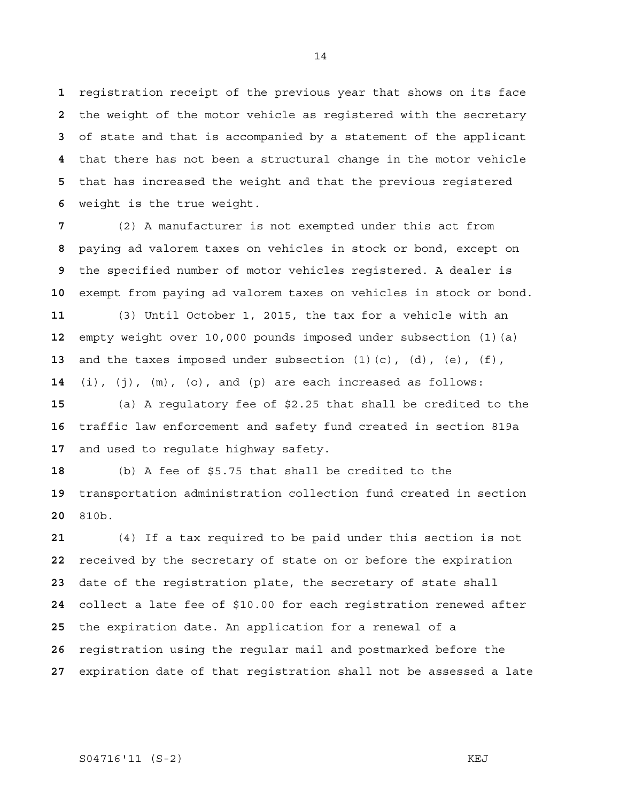registration receipt of the previous year that shows on its face the weight of the motor vehicle as registered with the secretary of state and that is accompanied by a statement of the applicant that there has not been a structural change in the motor vehicle that has increased the weight and that the previous registered weight is the true weight.

(2) A manufacturer is not exempted under this act from paying ad valorem taxes on vehicles in stock or bond, except on the specified number of motor vehicles registered. A dealer is exempt from paying ad valorem taxes on vehicles in stock or bond. (3) Until October 1, 2015, the tax for a vehicle with an empty weight over 10,000 pounds imposed under subsection (1)(a) and the taxes imposed under subsection (1)(c), (d), (e), (f), (i), (j), (m), (o), and (p) are each increased as follows:

(a) A regulatory fee of \$2.25 that shall be credited to the traffic law enforcement and safety fund created in section 819a and used to regulate highway safety.

(b) A fee of \$5.75 that shall be credited to the transportation administration collection fund created in section 810b.

(4) If a tax required to be paid under this section is not received by the secretary of state on or before the expiration date of the registration plate, the secretary of state shall collect a late fee of \$10.00 for each registration renewed after the expiration date. An application for a renewal of a registration using the regular mail and postmarked before the expiration date of that registration shall not be assessed a late

#### 

# S04716'11 (S-2) KEJ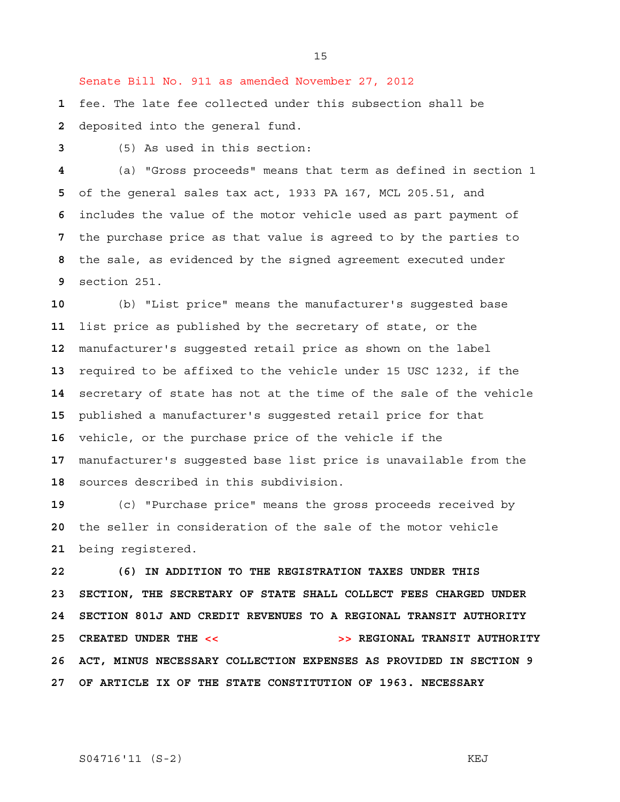Senate Bill No. 911 as amended November 27, 2012

fee. The late fee collected under this subsection shall be deposited into the general fund.

(5) As used in this section:

(a) "Gross proceeds" means that term as defined in section 1 of the general sales tax act, 1933 PA 167, MCL 205.51, and includes the value of the motor vehicle used as part payment of the purchase price as that value is agreed to by the parties to the sale, as evidenced by the signed agreement executed under section 251.

(b) "List price" means the manufacturer's suggested base list price as published by the secretary of state, or the manufacturer's suggested retail price as shown on the label required to be affixed to the vehicle under 15 USC 1232, if the secretary of state has not at the time of the sale of the vehicle published a manufacturer's suggested retail price for that vehicle, or the purchase price of the vehicle if the manufacturer's suggested base list price is unavailable from the sources described in this subdivision.

(c) "Purchase price" means the gross proceeds received by the seller in consideration of the sale of the motor vehicle being registered.

**22 (6) IN ADDITION TO THE REGISTRATION TAXES UNDER THIS 23 SECTION, THE SECRETARY OF STATE SHALL COLLECT FEES CHARGED UNDER 24 SECTION 801J AND CREDIT REVENUES TO A REGIONAL TRANSIT AUTHORITY 25 CREATED UNDER THE << >> REGIONAL TRANSIT AUTHORITY 26 ACT, MINUS NECESSARY COLLECTION EXPENSES AS PROVIDED IN SECTION 9 27 OF ARTICLE IX OF THE STATE CONSTITUTION OF 1963. NECESSARY**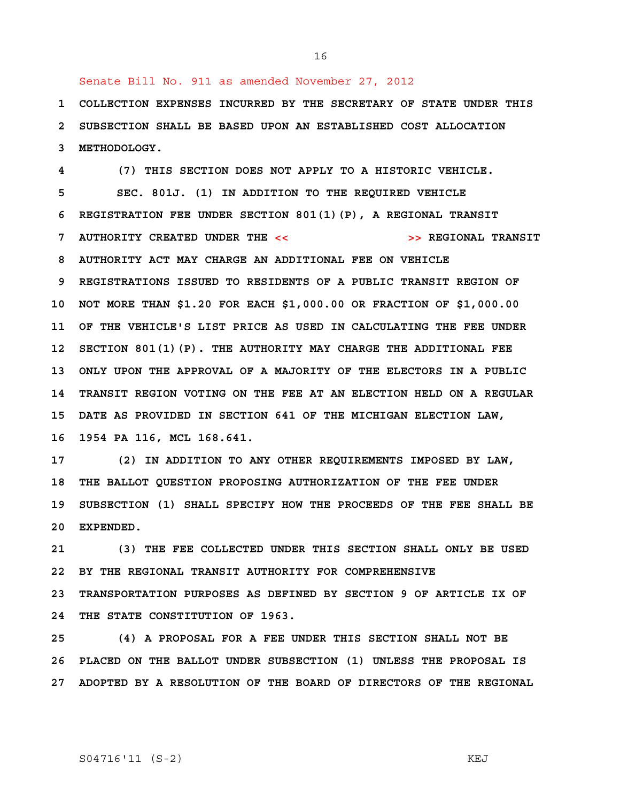Senate Bill No. 911 as amended November 27, 2012

 **1 COLLECTION EXPENSES INCURRED BY THE SECRETARY OF STATE UNDER THIS 2 SUBSECTION SHALL BE BASED UPON AN ESTABLISHED COST ALLOCATION 3 METHODOLOGY.** 

16

 **4 (7) THIS SECTION DOES NOT APPLY TO A HISTORIC VEHICLE. 5 SEC. 801J. (1) IN ADDITION TO THE REQUIRED VEHICLE 6 REGISTRATION FEE UNDER SECTION 801(1)(P), A REGIONAL TRANSIT 7 AUTHORITY CREATED UNDER THE << >> REGIONAL TRANSIT 8 AUTHORITY ACT MAY CHARGE AN ADDITIONAL FEE ON VEHICLE 9 REGISTRATIONS ISSUED TO RESIDENTS OF A PUBLIC TRANSIT REGION OF 10 NOT MORE THAN \$1.20 FOR EACH \$1,000.00 OR FRACTION OF \$1,000.00 11 OF THE VEHICLE'S LIST PRICE AS USED IN CALCULATING THE FEE UNDER 12 SECTION 801(1)(P). THE AUTHORITY MAY CHARGE THE ADDITIONAL FEE 13 ONLY UPON THE APPROVAL OF A MAJORITY OF THE ELECTORS IN A PUBLIC 14 TRANSIT REGION VOTING ON THE FEE AT AN ELECTION HELD ON A REGULAR 15 DATE AS PROVIDED IN SECTION 641 OF THE MICHIGAN ELECTION LAW, 16 1954 PA 116, MCL 168.641.** 

**17 (2) IN ADDITION TO ANY OTHER REQUIREMENTS IMPOSED BY LAW, 18 THE BALLOT QUESTION PROPOSING AUTHORIZATION OF THE FEE UNDER 19 SUBSECTION (1) SHALL SPECIFY HOW THE PROCEEDS OF THE FEE SHALL BE 20 EXPENDED.** 

**21 (3) THE FEE COLLECTED UNDER THIS SECTION SHALL ONLY BE USED 22 BY THE REGIONAL TRANSIT AUTHORITY FOR COMPREHENSIVE 23 TRANSPORTATION PURPOSES AS DEFINED BY SECTION 9 OF ARTICLE IX OF 24 THE STATE CONSTITUTION OF 1963.** 

**25 (4) A PROPOSAL FOR A FEE UNDER THIS SECTION SHALL NOT BE 26 PLACED ON THE BALLOT UNDER SUBSECTION (1) UNLESS THE PROPOSAL IS 27 ADOPTED BY A RESOLUTION OF THE BOARD OF DIRECTORS OF THE REGIONAL**